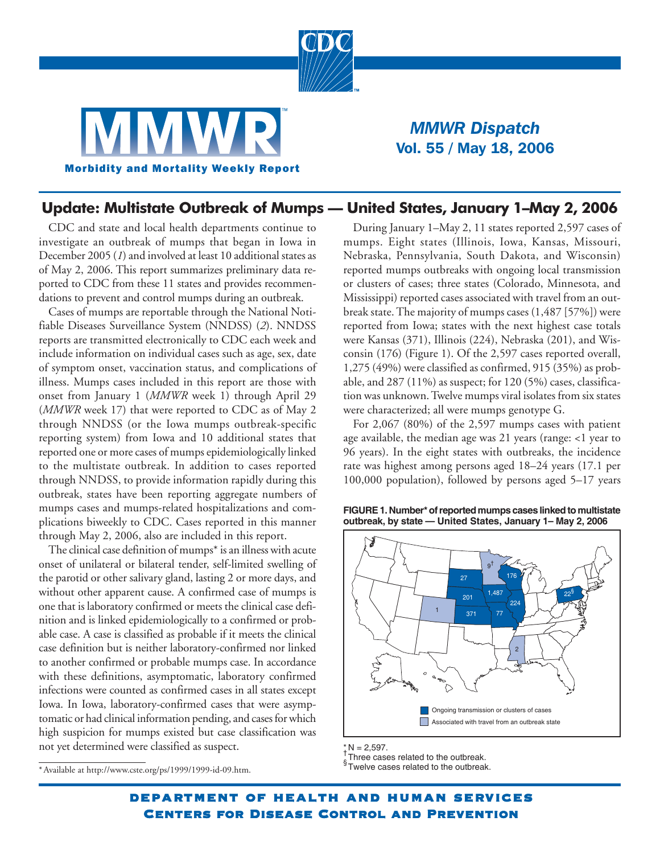



## *MMWR Dispatch* Vol. 55 / May 18, 2006

## **Update: Multistate Outbreak of Mumps — United States, January 1–May 2, 2006**

CDC and state and local health departments continue to investigate an outbreak of mumps that began in Iowa in December 2005 (*1*) and involved at least 10 additional states as of May 2, 2006. This report summarizes preliminary data reported to CDC from these 11 states and provides recommendations to prevent and control mumps during an outbreak.

Cases of mumps are reportable through the National Notifiable Diseases Surveillance System (NNDSS) (*2*). NNDSS reports are transmitted electronically to CDC each week and include information on individual cases such as age, sex, date of symptom onset, vaccination status, and complications of illness. Mumps cases included in this report are those with onset from January 1 (*MMWR* week 1) through April 29 (*MMWR* week 17) that were reported to CDC as of May 2 through NNDSS (or the Iowa mumps outbreak-specific reporting system) from Iowa and 10 additional states that reported one or more cases of mumps epidemiologically linked to the multistate outbreak. In addition to cases reported through NNDSS, to provide information rapidly during this outbreak, states have been reporting aggregate numbers of mumps cases and mumps-related hospitalizations and complications biweekly to CDC. Cases reported in this manner through May 2, 2006, also are included in this report.

The clinical case definition of mumps\* is an illness with acute onset of unilateral or bilateral tender, self-limited swelling of the parotid or other salivary gland, lasting 2 or more days, and without other apparent cause. A confirmed case of mumps is one that is laboratory confirmed or meets the clinical case definition and is linked epidemiologically to a confirmed or probable case. A case is classified as probable if it meets the clinical case definition but is neither laboratory-confirmed nor linked to another confirmed or probable mumps case. In accordance with these definitions, asymptomatic, laboratory confirmed infections were counted as confirmed cases in all states except Iowa. In Iowa, laboratory-confirmed cases that were asymptomatic or had clinical information pending, and cases for which high suspicion for mumps existed but case classification was not yet determined were classified as suspect.

During January 1–May 2, 11 states reported 2,597 cases of mumps. Eight states (Illinois, Iowa, Kansas, Missouri, Nebraska, Pennsylvania, South Dakota, and Wisconsin) reported mumps outbreaks with ongoing local transmission or clusters of cases; three states (Colorado, Minnesota, and Mississippi) reported cases associated with travel from an outbreak state. The majority of mumps cases (1,487 [57%]) were reported from Iowa; states with the next highest case totals were Kansas (371), Illinois (224), Nebraska (201), and Wisconsin (176) (Figure 1). Of the 2,597 cases reported overall, 1,275 (49%) were classified as confirmed, 915 (35%) as probable, and 287 (11%) as suspect; for 120 (5%) cases, classification was unknown. Twelve mumps viral isolates from six states were characterized; all were mumps genotype G.

For 2,067 (80%) of the 2,597 mumps cases with patient age available, the median age was 21 years (range: <1 year to 96 years). In the eight states with outbreaks, the incidence rate was highest among persons aged 18–24 years (17.1 per 100,000 population), followed by persons aged 5–17 years





 $* N = 2.597.$ 

**S**Twelve cases related to the outbreak.

\* Available at http://www.cste.org/ps/1999/1999-id-09.htm.

Three cases related to the outbreak.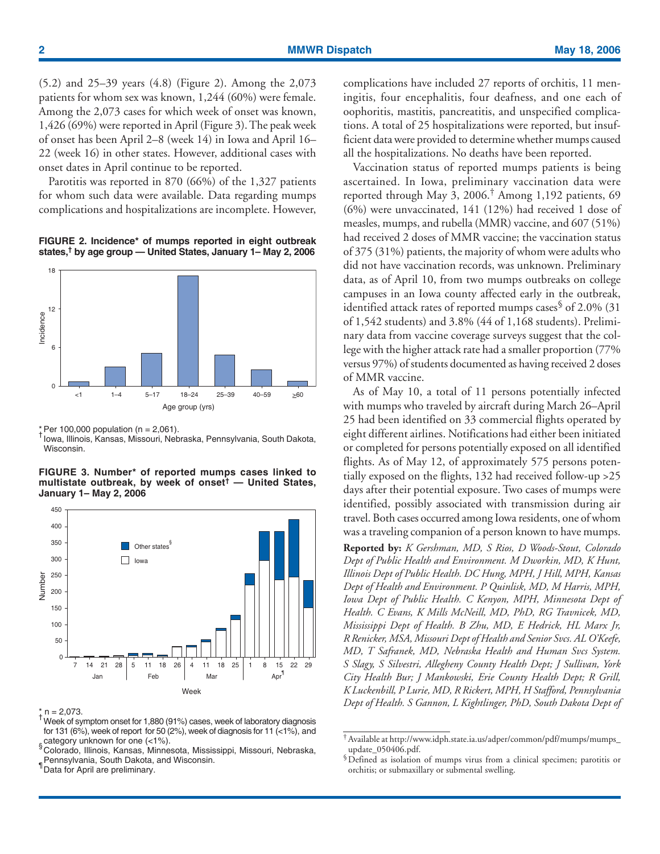(5.2) and 25–39 years (4.8) (Figure 2). Among the 2,073 patients for whom sex was known, 1,244 (60%) were female. Among the 2,073 cases for which week of onset was known, 1,426 (69%) were reported in April (Figure 3). The peak week of onset has been April 2–8 (week 14) in Iowa and April 16– 22 (week 16) in other states. However, additional cases with onset dates in April continue to be reported.

Parotitis was reported in 870 (66%) of the 1,327 patients for whom such data were available. Data regarding mumps complications and hospitalizations are incomplete. However,

**FIGURE 2. Incidence\* of mumps reported in eight outbreak states,† by age group — United States, January 1– May 2, 2006**



\* Per 100,000 population (n = 2,061).

Iowa, Illinois, Kansas, Missouri, Nebraska, Pennsylvania, South Dakota, Wisconsin.

**FIGURE 3. Number\* of reported mumps cases linked to multistate outbreak, by week of onset† — United States, January 1– May 2, 2006**



- \* n = 2,073.<br><sup>†</sup> Week of symptom onset for 1,880 (91%) cases, week of laboratory diagnosis for 131 (6%), week of report for 50 (2%), week of diagnosis for 11 (<1%), and category unknown for one  $($  <math>1\%</math>).
- suaregary and minis, Kansas, Minnesota, Mississippi, Missouri, Nebraska, Pennsylvania, South Dakota, and Wisconsin.

<sup>1</sup> Data for April are preliminary.

complications have included 27 reports of orchitis, 11 meningitis, four encephalitis, four deafness, and one each of oophoritis, mastitis, pancreatitis, and unspecified complications. A total of 25 hospitalizations were reported, but insufficient data were provided to determine whether mumps caused all the hospitalizations. No deaths have been reported.

Vaccination status of reported mumps patients is being ascertained. In Iowa, preliminary vaccination data were reported through May 3, 2006.† Among 1,192 patients, 69 (6%) were unvaccinated, 141 (12%) had received 1 dose of measles, mumps, and rubella (MMR) vaccine, and 607 (51%) had received 2 doses of MMR vaccine; the vaccination status of 375 (31%) patients, the majority of whom were adults who did not have vaccination records, was unknown. Preliminary data, as of April 10, from two mumps outbreaks on college campuses in an Iowa county affected early in the outbreak, identified attack rates of reported mumps cases<sup>§</sup> of 2.0% (31) of 1,542 students) and 3.8% (44 of 1,168 students). Preliminary data from vaccine coverage surveys suggest that the college with the higher attack rate had a smaller proportion (77% versus 97%) of students documented as having received 2 doses of MMR vaccine.

As of May 10, a total of 11 persons potentially infected with mumps who traveled by aircraft during March 26–April 25 had been identified on 33 commercial flights operated by eight different airlines. Notifications had either been initiated or completed for persons potentially exposed on all identified flights. As of May 12, of approximately 575 persons potentially exposed on the flights, 132 had received follow-up >25 days after their potential exposure. Two cases of mumps were identified, possibly associated with transmission during air travel. Both cases occurred among Iowa residents, one of whom was a traveling companion of a person known to have mumps.

**Reported by:** *K Gershman, MD, S Rios, D Woods-Stout, Colorado Dept of Public Health and Environment. M Dworkin, MD, K Hunt, Illinois Dept of Public Health. DC Hung, MPH, J Hill, MPH, Kansas Dept of Health and Environment. P Quinlisk, MD, M Harris, MPH, Iowa Dept of Public Health. C Kenyon, MPH, Minnesota Dept of Health. C Evans, K Mills McNeill, MD, PhD, RG Travnicek, MD, Mississippi Dept of Health. B Zhu, MD, E Hedrick, HL Marx Jr, R Renicker, MSA, Missouri Dept of Health and Senior Svcs. AL O'Keefe, MD, T Safranek, MD, Nebraska Health and Human Svcs System. S Slagy, S Silvestri, Allegheny County Health Dept; J Sullivan, York City Health Bur; J Mankowski, Erie County Health Dept; R Grill, K Luckenbill, P Lurie, MD, R Rickert, MPH, H Stafford, Pennsylvania Dept of Health. S Gannon, L Kightlinger, PhD, South Dakota Dept of*

<sup>†</sup>Available at http://www.idph.state.ia.us/adper/common/pdf/mumps/mumps\_ update 050406.pdf.

<sup>§</sup>Defined as isolation of mumps virus from a clinical specimen; parotitis or orchitis; or submaxillary or submental swelling.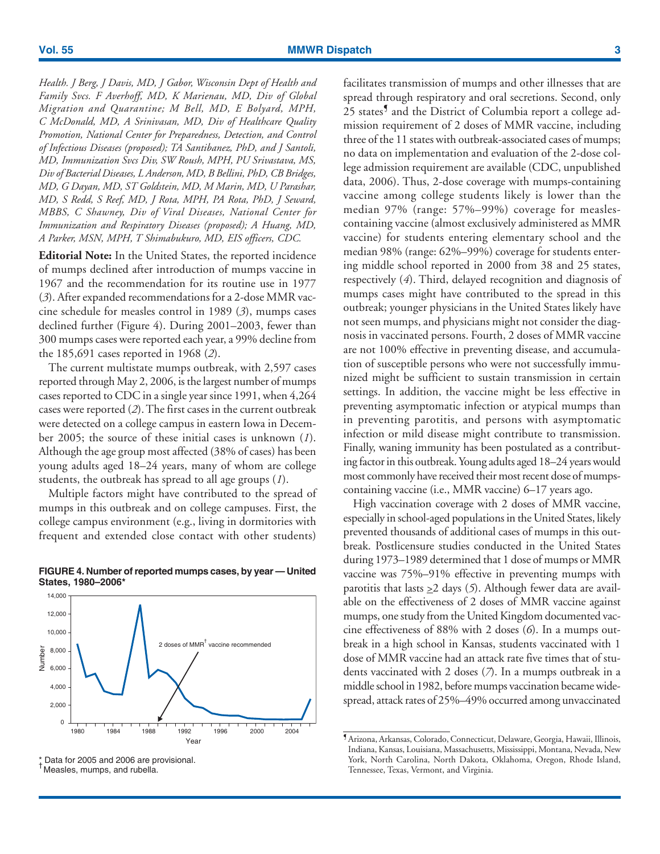*Health. J Berg, J Davis, MD, J Gabor, Wisconsin Dept of Health and Family Svcs. F Averhoff, MD, K Marienau, MD, Div of Global Migration and Quarantine; M Bell, MD, E Bolyard, MPH, C McDonald, MD, A Srinivasan, MD, Div of Healthcare Quality Promotion, National Center for Preparedness, Detection, and Control of Infectious Diseases (proposed); TA Santibanez, PhD, and J Santoli, MD, Immunization Svcs Div, SW Roush, MPH, PU Srivastava, MS, Div of Bacterial Diseases, L Anderson, MD, B Bellini, PhD, CB Bridges, MD, G Dayan, MD, ST Goldstein, MD, M Marin, MD, U Parashar, MD, S Redd, S Reef, MD, J Rota, MPH, PA Rota, PhD, J Seward, MBBS, C Shawney, Div of Viral Diseases, National Center for Immunization and Respiratory Diseases (proposed); A Huang, MD, A Parker, MSN, MPH, T Shimabukuro, MD, EIS officers, CDC.*

**Editorial Note:** In the United States, the reported incidence of mumps declined after introduction of mumps vaccine in 1967 and the recommendation for its routine use in 1977 (*3*). After expanded recommendations for a 2-dose MMR vaccine schedule for measles control in 1989 (*3*), mumps cases declined further (Figure 4). During 2001–2003, fewer than 300 mumps cases were reported each year, a 99% decline from the 185,691 cases reported in 1968 (*2*).

The current multistate mumps outbreak, with 2,597 cases reported through May 2, 2006, is the largest number of mumps cases reported to CDC in a single year since 1991, when 4,264 cases were reported (*2*). The first cases in the current outbreak were detected on a college campus in eastern Iowa in December 2005; the source of these initial cases is unknown (*1*). Although the age group most affected (38% of cases) has been young adults aged 18–24 years, many of whom are college students, the outbreak has spread to all age groups (*1*).

Multiple factors might have contributed to the spread of mumps in this outbreak and on college campuses. First, the college campus environment (e.g., living in dormitories with frequent and extended close contact with other students)



## **FIGURE 4. Number of reported mumps cases, by year — United States, 1980–2006\***

<sup>†</sup>Measles, mumps, and rubella.

facilitates transmission of mumps and other illnesses that are spread through respiratory and oral secretions. Second, only 25 states<sup>9</sup> and the District of Columbia report a college admission requirement of 2 doses of MMR vaccine, including three of the 11 states with outbreak-associated cases of mumps; no data on implementation and evaluation of the 2-dose college admission requirement are available (CDC, unpublished data, 2006). Thus, 2-dose coverage with mumps-containing vaccine among college students likely is lower than the median 97% (range: 57%–99%) coverage for measlescontaining vaccine (almost exclusively administered as MMR vaccine) for students entering elementary school and the median 98% (range: 62%–99%) coverage for students entering middle school reported in 2000 from 38 and 25 states, respectively (*4*). Third, delayed recognition and diagnosis of mumps cases might have contributed to the spread in this outbreak; younger physicians in the United States likely have not seen mumps, and physicians might not consider the diagnosis in vaccinated persons. Fourth, 2 doses of MMR vaccine are not 100% effective in preventing disease, and accumulation of susceptible persons who were not successfully immunized might be sufficient to sustain transmission in certain settings. In addition, the vaccine might be less effective in preventing asymptomatic infection or atypical mumps than in preventing parotitis, and persons with asymptomatic infection or mild disease might contribute to transmission. Finally, waning immunity has been postulated as a contributing factor in this outbreak. Young adults aged 18–24 years would most commonly have received their most recent dose of mumpscontaining vaccine (i.e., MMR vaccine) 6–17 years ago.

High vaccination coverage with 2 doses of MMR vaccine, especially in school-aged populations in the United States, likely prevented thousands of additional cases of mumps in this outbreak. Postlicensure studies conducted in the United States during 1973–1989 determined that 1 dose of mumps or MMR vaccine was 75%–91% effective in preventing mumps with parotitis that lasts  $\geq 2$  days (5). Although fewer data are available on the effectiveness of 2 doses of MMR vaccine against mumps, one study from the United Kingdom documented vaccine effectiveness of 88% with 2 doses (*6*). In a mumps outbreak in a high school in Kansas, students vaccinated with 1 dose of MMR vaccine had an attack rate five times that of students vaccinated with 2 doses (*7*). In a mumps outbreak in a middle school in 1982, before mumps vaccination became widespread, attack rates of 25%–49% occurred among unvaccinated

<sup>\*</sup> Data for 2005 and 2006 are provisional.

<sup>¶</sup>Arizona, Arkansas, Colorado, Connecticut, Delaware, Georgia, Hawaii, Illinois, Indiana, Kansas, Louisiana, Massachusetts, Mississippi, Montana, Nevada, New York, North Carolina, North Dakota, Oklahoma, Oregon, Rhode Island, Tennessee, Texas, Vermont, and Virginia.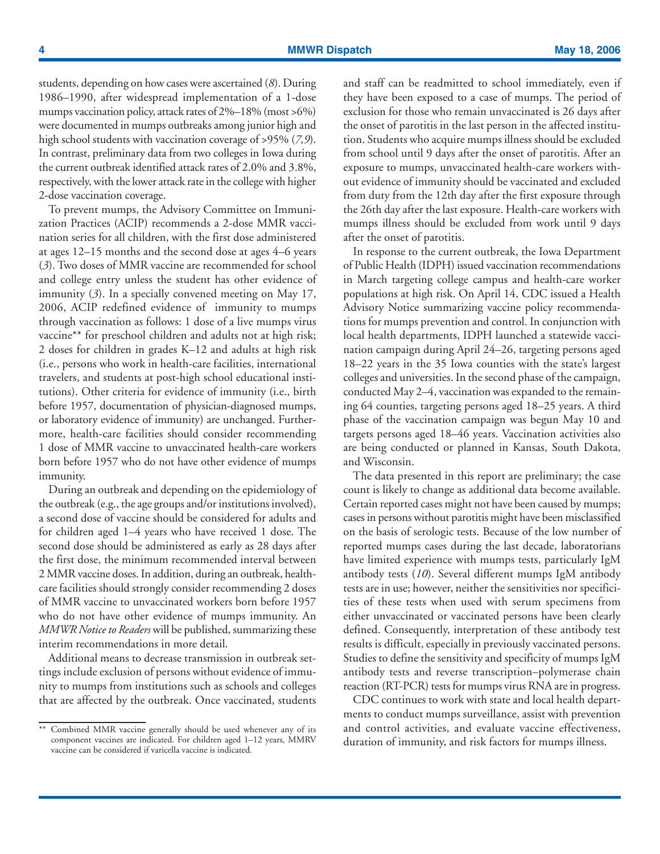students, depending on how cases were ascertained (*8*). During 1986–1990, after widespread implementation of a 1-dose mumps vaccination policy, attack rates of 2%–18% (most >6%) were documented in mumps outbreaks among junior high and high school students with vaccination coverage of >95% (*7,9*). In contrast, preliminary data from two colleges in Iowa during the current outbreak identified attack rates of 2.0% and 3.8%, respectively, with the lower attack rate in the college with higher 2-dose vaccination coverage.

To prevent mumps, the Advisory Committee on Immunization Practices (ACIP) recommends a 2-dose MMR vaccination series for all children, with the first dose administered at ages 12–15 months and the second dose at ages 4–6 years (*3*). Two doses of MMR vaccine are recommended for school and college entry unless the student has other evidence of immunity (*3*). In a specially convened meeting on May 17, 2006, ACIP redefined evidence of immunity to mumps through vaccination as follows: 1 dose of a live mumps virus vaccine\*\* for preschool children and adults not at high risk; 2 doses for children in grades K–12 and adults at high risk (i.e., persons who work in health-care facilities, international travelers, and students at post-high school educational institutions). Other criteria for evidence of immunity (i.e., birth before 1957, documentation of physician-diagnosed mumps, or laboratory evidence of immunity) are unchanged. Furthermore, health-care facilities should consider recommending 1 dose of MMR vaccine to unvaccinated health-care workers born before 1957 who do not have other evidence of mumps immunity.

During an outbreak and depending on the epidemiology of the outbreak (e.g., the age groups and/or institutions involved), a second dose of vaccine should be considered for adults and for children aged 1–4 years who have received 1 dose. The second dose should be administered as early as 28 days after the first dose, the minimum recommended interval between 2 MMR vaccine doses. In addition, during an outbreak, healthcare facilities should strongly consider recommending 2 doses of MMR vaccine to unvaccinated workers born before 1957 who do not have other evidence of mumps immunity. An *MMWR Notice to Readers* will be published, summarizing these interim recommendations in more detail.

Additional means to decrease transmission in outbreak settings include exclusion of persons without evidence of immunity to mumps from institutions such as schools and colleges that are affected by the outbreak. Once vaccinated, students and staff can be readmitted to school immediately, even if they have been exposed to a case of mumps. The period of exclusion for those who remain unvaccinated is 26 days after the onset of parotitis in the last person in the affected institution. Students who acquire mumps illness should be excluded from school until 9 days after the onset of parotitis. After an exposure to mumps, unvaccinated health-care workers without evidence of immunity should be vaccinated and excluded from duty from the 12th day after the first exposure through the 26th day after the last exposure. Health-care workers with mumps illness should be excluded from work until 9 days after the onset of parotitis.

In response to the current outbreak, the Iowa Department of Public Health (IDPH) issued vaccination recommendations in March targeting college campus and health-care worker populations at high risk. On April 14, CDC issued a Health Advisory Notice summarizing vaccine policy recommendations for mumps prevention and control. In conjunction with local health departments, IDPH launched a statewide vaccination campaign during April 24–26, targeting persons aged 18–22 years in the 35 Iowa counties with the state's largest colleges and universities. In the second phase of the campaign, conducted May 2–4, vaccination was expanded to the remaining 64 counties, targeting persons aged 18–25 years. A third phase of the vaccination campaign was begun May 10 and targets persons aged 18–46 years. Vaccination activities also are being conducted or planned in Kansas, South Dakota, and Wisconsin.

The data presented in this report are preliminary; the case count is likely to change as additional data become available. Certain reported cases might not have been caused by mumps; cases in persons without parotitis might have been misclassified on the basis of serologic tests. Because of the low number of reported mumps cases during the last decade, laboratorians have limited experience with mumps tests, particularly IgM antibody tests (*10*). Several different mumps IgM antibody tests are in use; however, neither the sensitivities nor specificities of these tests when used with serum specimens from either unvaccinated or vaccinated persons have been clearly defined. Consequently, interpretation of these antibody test results is difficult, especially in previously vaccinated persons. Studies to define the sensitivity and specificity of mumps IgM antibody tests and reverse transcription–polymerase chain reaction (RT-PCR) tests for mumps virus RNA are in progress.

CDC continues to work with state and local health departments to conduct mumps surveillance, assist with prevention and control activities, and evaluate vaccine effectiveness, duration of immunity, and risk factors for mumps illness.

<sup>\*\*</sup> Combined MMR vaccine generally should be used whenever any of its component vaccines are indicated. For children aged 1–12 years, MMRV vaccine can be considered if varicella vaccine is indicated.